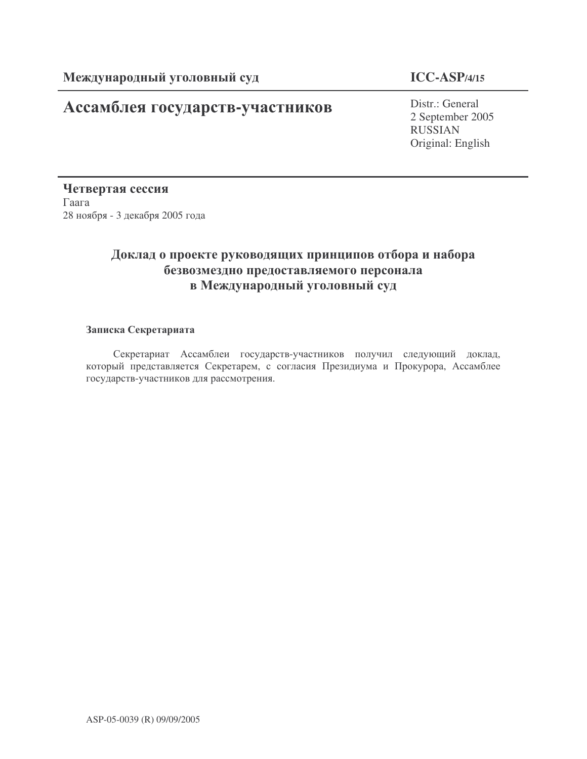# Ассамблея государств-участников

### **ICC-ASP/4/15**

Distr.: General 2 September 2005 RUSSIAN Original: English

Четвертая сессия  $\Gamma$ аага 28 ноября - 3 декабря 2005 года

### Доклад о проекте руководящих принципов отбора и набора безвозмездно предоставляемого персонала в Международный уголовный суд

#### Записка Секретариата

Секретариат Ассамблеи государств-участников получил следующий доклад, который представляется Секретарем, с согласия Президиума и Прокурора, Ассамблее государств-участников для рассмотрения.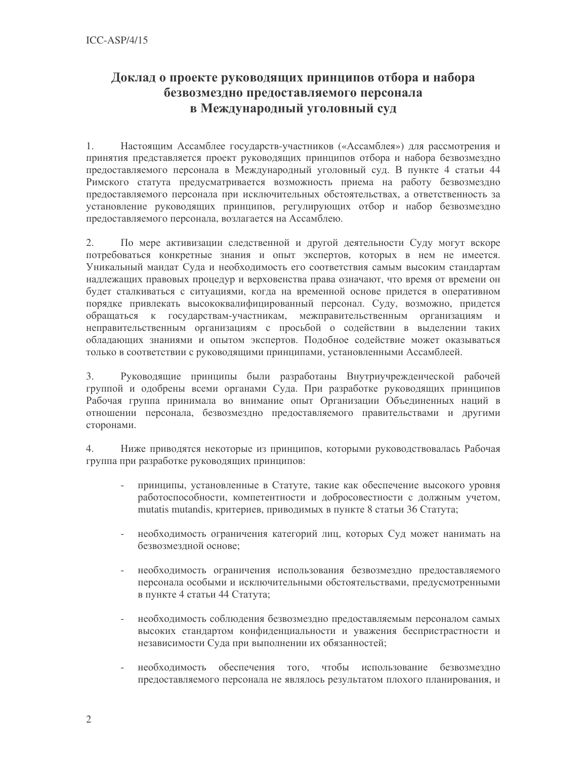### Доклад о проекте руководящих принципов отбора и набора безвозмездно предоставляемого персонала в Международный уголовный суд

 $1.$ Настоящим Ассамблее государств-участников («Ассамблея») для рассмотрения и принятия представляется проект руководящих принципов отбора и набора безвозмездно предоставляемого персонала в Международный уголовный суд. В пункте 4 статьи 44 Римского статута предусматривается возможность приема на работу безвозмездно предоставляемого персонала при исключительных обстоятельствах, а ответственность за установление руководящих принципов, регулирующих отбор и набор безвозмездно предоставляемого персонала, возлагается на Ассамблею.

2. По мере активизации следственной и другой деятельности Суду могут вскоре потребоваться конкретные знания и опыт экспертов, которых в нем не имеется. Уникальный мандат Суда и необходимость его соответствия самым высоким стандартам надлежащих правовых процедур и верховенства права означают, что время от времени он будет сталкиваться с ситуациями, когда на временной основе придется в оперативном порядке привлекать высококвалифицированный персонал. Суду, возможно, придется обращаться к государствам-участникам, межправительственным организациям и неправительственным организациям с просьбой о содействии в выделении таких обладающих знаниями и опытом экспертов. Подобное содействие может оказываться только в соответствии с руководящими принципами, установленными Ассамблеей.

3. Руководящие принципы были разработаны Внутриучрежденческой рабочей группой и одобрены всеми органами Суда. При разработке руководящих принципов Рабочая группа принимала во внимание опыт Организации Объединенных наций в отношении персонала, безвозмездно предоставляемого правительствами и другими сторонами.

 $4.$ Ниже приводятся некоторые из принципов, которыми руководствовалась Рабочая группа при разработке руководящих принципов:

- принципы, установленные в Статуте, такие как обеспечение высокого уровня работоспособности, компетентности и добросовестности с должным учетом, mutatis mutandis, критериев, приводимых в пункте 8 статьи 36 Статута;
- $\mathcal{L}^{\text{max}}$ необходимость ограничения категорий лиц, которых Суд может нанимать на безвозмезлной основе:
- необходимость ограничения использования безвозмездно предоставляемого персонала особыми и исключительными обстоятельствами, предусмотренными в пункте 4 статьи 44 Статута;
- необходимость соблюдения безвозмездно предоставляемым персоналом самых высоких стандартом конфиденциальности и уважения беспристрастности и независимости Суда при выполнении их обязанностей;
- необходимость обеспечения того, чтобы использование безвозмездно предоставляемого персонала не являлось результатом плохого планирования, и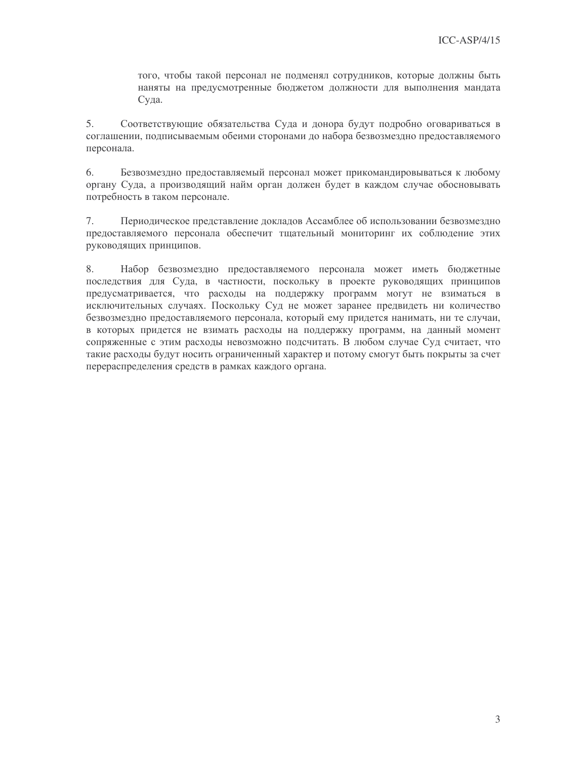того, чтобы такой персонал не подменял сотрудников, которые должны быть наняты на предусмотренные бюджетом должности для выполнения мандата Суда.

5. Соответствующие обязательства Суда и донора будут подробно оговариваться в соглашении, подписываемым обеими сторонами до набора безвозмездно предоставляемого персонала.

6. Безвозмездно предоставляемый персонал может прикомандировываться к любому органу Суда, а производящий найм орган должен будет в каждом случае обосновывать потребность в таком персонале.

Периодическое представление докладов Ассамблее об использовании безвозмездно 7. предоставляемого персонала обеспечит тщательный мониторинг их соблюдение этих руководящих принципов.

8. Набор безвозмездно предоставляемого персонала может иметь бюджетные последствия для Суда, в частности, поскольку в проекте руководящих принципов предусматривается, что расходы на поддержку программ могут не взиматься в исключительных случаях. Поскольку Суд не может заранее предвидеть ни количество безвозмездно предоставляемого персонала, который ему придется нанимать, ни те случаи, в которых придется не взимать расходы на поддержку программ, на данный момент сопряженные с этим расходы невозможно подсчитать. В любом случае Суд считает, что такие расходы будут носить ограниченный характер и потому смогут быть покрыты за счет перераспределения средств в рамках каждого органа.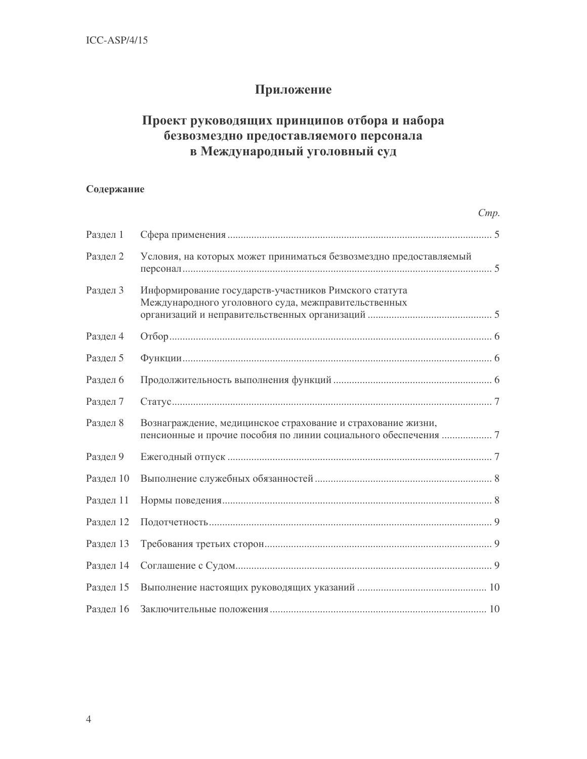## Приложение

## Проект руководящих принципов отбора и набора безвозмездно предоставляемого персонала в Международный уголовный суд

### Содержание

|           | Cmp.                                                                                                                            |
|-----------|---------------------------------------------------------------------------------------------------------------------------------|
| Раздел 1  |                                                                                                                                 |
| Раздел 2  | Условия, на которых может приниматься безвозмездно предоставляемый                                                              |
| Раздел 3  | Информирование государств-участников Римского статута<br>Международного уголовного суда, межправительственных                   |
| Раздел 4  |                                                                                                                                 |
| Раздел 5  |                                                                                                                                 |
| Раздел 6  |                                                                                                                                 |
| Раздел 7  |                                                                                                                                 |
| Раздел 8  | Вознаграждение, медицинское страхование и страхование жизни,<br>пенсионные и прочие пособия по линии социального обеспечения  7 |
| Раздел 9  |                                                                                                                                 |
| Раздел 10 |                                                                                                                                 |
| Раздел 11 |                                                                                                                                 |
| Раздел 12 |                                                                                                                                 |
| Раздел 13 |                                                                                                                                 |
| Раздел 14 |                                                                                                                                 |
| Раздел 15 |                                                                                                                                 |
| Раздел 16 |                                                                                                                                 |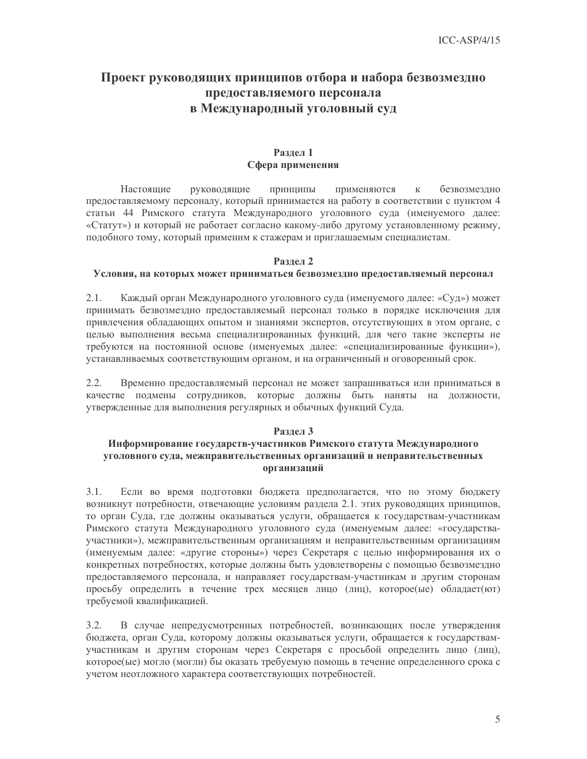### Проект руководящих принципов отбора и набора безвозмездно предоставляемого персонала в Международный уголовный суд

#### Разлел 1 Сфера применения

Настоящие руководящие принципы применяются  $\rm K$ безвозмездно предоставляемому персоналу, который принимается на работу в соответствии с пунктом 4 статьи 44 Римского статута Международного уголовного суда (именуемого далее: «Статут») и который не работает согласно какому-либо другому установленному режиму, подобного тому, который применим к стажерам и приглашаемым специалистам.

#### Разлел 2

#### Условия, на которых может приниматься безвозмездно предоставляемый персонал

 $2.1.$ Каждый орган Международного уголовного суда (именуемого далее: «Суд») может принимать безвозмездно предоставляемый персонал только в порядке исключения для привлечения обладающих опытом и знаниями экспертов, отсутствующих в этом органе, с целью выполнения весьма специализированных функций, для чего такие эксперты не требуются на постоянной основе (именуемых далее: «специализированные функции»), устанавливаемых соответствующим органом, и на ограниченный и оговоренный срок.

Временно предоставляемый персонал не может запрашиваться или приниматься в  $2.2.$ качестве подмены сотрудников, которые должны быть наняты на должности, утвержденные для выполнения регулярных и обычных функций Суда.

#### Разлел 3

#### Информирование государств-участников Римского статута Международного уголовного суда, межправительственных организаций и неправительственных организаций

 $3.1.$ Если во время подготовки бюджета предполагается, что по этому бюджету возникнут потребности, отвечающие условиям раздела 2.1. этих руководящих принципов, то орган Суда, где должны оказываться услуги, обращается к государствам-участникам Римского статута Международного уголовного суда (именуемым далее: «государстваучастники»), межправительственным организациям и неправительственным организациям (именуемым далее: «другие стороны») через Секретаря с целью информирования их о конкретных потребностях, которые должны быть удовлетворены с помощью безвозмездно предоставляемого персонала, и направляет государствам-участникам и другим сторонам просьбу определить в течение трех месяцев лицо (лиц), которое(ые) обладает(ют) требуемой квалификацией.

 $3.2.$ В случае непредусмотренных потребностей, возникающих после утверждения бюджета, орган Суда, которому должны оказываться услуги, обращается к государствамучастникам и другим сторонам через Секретаря с просьбой определить лицо (лиц), которое(ые) могло (могли) бы оказать требуемую помощь в течение определенного срока с учетом неотложного характера соответствующих потребностей.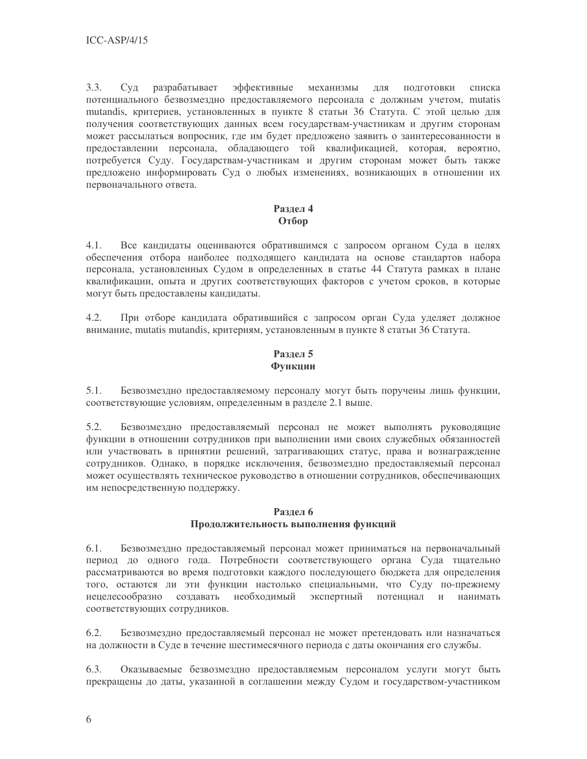$3.3.$ эффективные разрабатывает механизмы ДЛЯ ПОДГОТОВКИ  $Cv<sub>µ</sub>$ списка потенциального безвозмездно предоставляемого персонала с должным учетом, mutatis mutandis, критериев, установленных в пункте 8 статьи 36 Статута. С этой целью для получения соответствующих данных всем государствам-участникам и другим сторонам может рассылаться вопросник, где им будет предложено заявить о заинтересованности в предоставлении персонала, обладающего той квалификацией, которая, вероятно, потребуется Суду. Государствам-участникам и другим сторонам может быть также предложено информировать Суд о любых изменениях, возникающих в отношении их первоначального ответа.

#### Раздел 4 Отбор

 $4.1.$ Все кандидаты оцениваются обратившимся с запросом органом Суда в целях обеспечения отбора наиболее подходящего кандидата на основе стандартов набора персонала, установленных Судом в определенных в статье 44 Статута рамках в плане квалификации, опыта и других соответствующих факторов с учетом сроков, в которые могут быть предоставлены кандидаты.

 $4.2.$ При отборе кандидата обратившийся с запросом орган Суда уделяет должное внимание, mutatis mutandis, критериям, установленным в пункте 8 статьи 36 Статута.

#### Раздел 5 Функции

 $5.1.$ Безвозмездно предоставляемому персоналу могут быть поручены лишь функции, соответствующие условиям, определенным в разделе 2.1 выше.

5.2. Безвозмездно предоставляемый персонал не может выполнять руководящие функции в отношении сотрудников при выполнении ими своих служебных обязанностей или участвовать в принятии решений, затрагивающих статус, права и вознаграждение сотрудников. Однако, в порядке исключения, безвозмездно предоставляемый персонал может осуществлять техническое руководство в отношении сотрудников, обеспечивающих им непосредственную поддержку.

#### Раздел 6

#### Продолжительность выполнения функций

 $6.1.$ Безвозмездно предоставляемый персонал может приниматься на первоначальный период до одного года. Потребности соответствующего органа Суда тщательно рассматриваются во время подготовки каждого последующего бюджета для определения того, остаются ли эти функции настолько специальными, что Суду по-прежнему необходимый экспертный потенциал и нецелесообразно создавать нанимать соответствующих сотрудников.

 $6.2.$ Безвозмездно предоставляемый персонал не может претендовать или назначаться на должности в Суде в течение шестимесячного периода с даты окончания его службы.

6.3. Оказываемые безвозмездно предоставляемым персоналом услуги могут быть прекращены до даты, указанной в соглашении между Судом и государством-участником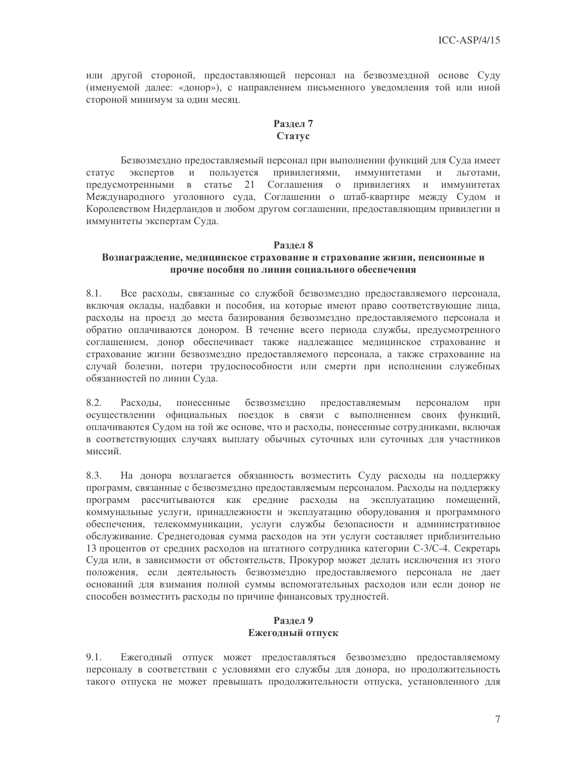или другой стороной, предоставляющей персонал на безвозмездной основе Суду (именуемой далее: «донор»), с направлением письменного уведомления той или иной стороной минимум за один месяц.

#### Разлел 7 Статус

Безвозмездно предоставляемый персонал при выполнении функций для Суда имеет статус экспертов  $V$ пользуется привилегиями, иммунитетами  $\overline{M}$ льготами, предусмотренными в статье 21 Соглашения о привилегиях и иммунитетах Международного уголовного суда, Соглашении о штаб-квартире между Судом и Королевством Нидерландов и любом другом соглашении, предоставляющим привилегии и иммунитеты экспертам Суда.

#### Разлел 8

#### Вознаграждение, медицинское страхование и страхование жизни, пенсионные и прочие пособия по линии социального обеспечения

8.1. Все расходы, связанные со службой безвозмездно предоставляемого персонала, включая оклады, надбавки и пособия, на которые имеют право соответствующие лица, расходы на проезд до места базирования безвозмездно предоставляемого персонала и обратно оплачиваются донором. В течение всего периода службы, предусмотренного соглашением, донор обеспечивает также надлежащее медицинское страхование и страхование жизни безвозмездно предоставляемого персонала, а также страхование на случай болезни, потери трудоспособности или смерти при исполнении служебных обязанностей по линии Суда.

8.2. Расхолы. понесенные безвозмездно предоставляемым персоналом при осуществлении официальных поездок в связи с выполнением своих функций, оплачиваются Судом на той же основе, что и расходы, понесенные сотрудниками, включая в соответствующих случаях выплату обычных суточных или суточных для участников миссий

8.3. На донора возлагается обязанность возместить Суду расходы на поддержку программ, связанные с безвозмездно предоставляемым персоналом. Расходы на поддержку программ рассчитываются как средние расходы на эксплуатацию помещений, коммунальные услуги, принадлежности и эксплуатацию оборудования и программного обеспечения, телекоммуникации, услуги службы безопасности и административное обслуживание. Среднегодовая сумма расходов на эти услуги составляет приблизительно 13 процентов от средних расходов на штатного сотрудника категории С-3/С-4. Секретарь Суда или, в зависимости от обстоятельств, Прокурор может делать исключения из этого положения, если деятельность безвозмездно предоставляемого персонала не дает оснований для взимания полной суммы вспомогательных расходов или если донор не способен возместить расходы по причине финансовых трудностей.

## Раздел 9

#### Ежегодный отпуск

 $9.1.$ Ежегодный отпуск может предоставляться безвозмездно предоставляемому персоналу в соответствии с условиями его службы для донора, но продолжительность такого отпуска не может превышать продолжительности отпуска, установленного для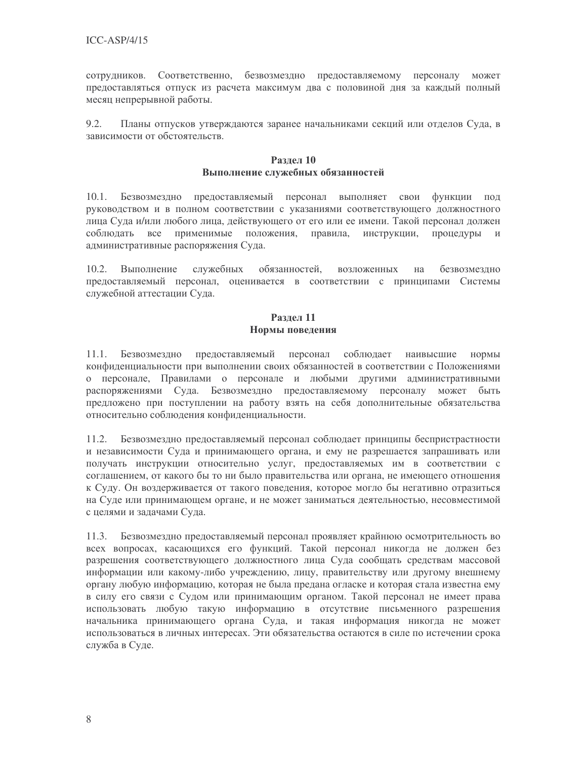сотрудников. Соответственно, безвозмездно предоставляемому персоналу может предоставляться отпуск из расчета максимум два с половиной дня за каждый полный месяц непрерывной работы.

 $9.2.$ Планы отпусков утверждаются заранее начальниками секций или отделов Суда, в зависимости от обстоятельств.

#### Разлел 10 Выполнение служебных обязанностей

Безвозмездно предоставляемый персонал выполняет свои функции под  $10.1.$ руководством и в полном соответствии с указаниями соответствующего должностного лица Суда и/или любого лица, действующего от его или ее имени. Такой персонал должен соблюдать все применимые положения, правила, инструкции, процедуры и административные распоряжения Суда.

обязанностей.  $10.2.$ Выполнение служебных возложенных на безвозмезлно предоставляемый персонал, оценивается в соответствии с принципами Системы служебной аттестации Суда.

#### Разлел 11 Нормы поведения

 $11.1.$ Безвозмездно предоставляемый персонал соблюдает наивысшие нормы конфиденциальности при выполнении своих обязанностей в соответствии с Положениями о персонале, Правилами о персонале и любыми другими административными распоряжениями Суда. Безвозмездно предоставляемому персоналу может быть предложено при поступлении на работу взять на себя дополнительные обязательства относительно соблюдения конфиденциальности.

Безвозмездно предоставляемый персонал соблюдает принципы беспристрастности 11.2. и независимости Суда и принимающего органа, и ему не разрешается запрашивать или получать инструкции относительно услуг, предоставляемых им в соответствии с соглашением, от какого бы то ни было правительства или органа, не имеющего отношения к Суду. Он воздерживается от такого поведения, которое могло бы негативно отразиться на Суде или принимающем органе, и не может заниматься деятельностью, несовместимой с целями и задачами Суда.

11.3. Безвозмездно предоставляемый персонал проявляет крайнюю осмотрительность во всех вопросах, касающихся его функций. Такой персонал никогда не должен без разрешения соответствующего должностного лица Суда сообщать средствам массовой информации или какому-либо учреждению, лицу, правительству или другому внешнему органу любую информацию, которая не была предана огласке и которая стала известна ему в силу его связи с Судом или принимающим органом. Такой персонал не имеет права использовать любую такую информацию в отсутствие письменного разрешения начальника принимающего органа Суда, и такая информация никогда не может использоваться в личных интересах. Эти обязательства остаются в силе по истечении срока служба в Суде.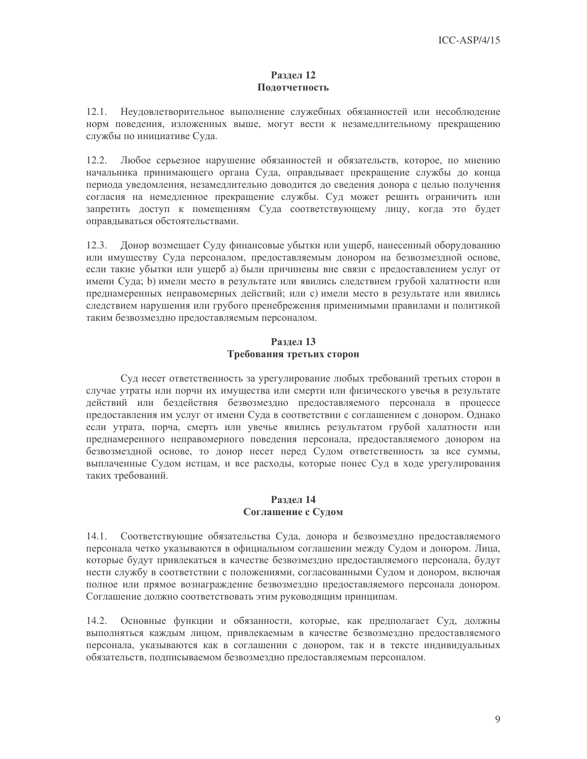#### Раздел 12 Подотчетность

 $12.1.$ Неудовлетворительное выполнение служебных обязанностей или несоблюдение норм поведения, изложенных выше, могут вести к незамедлительному прекращению службы по инициативе Суда.

 $12.2.$ Любое серьезное нарушение обязанностей и обязательств, которое, по мнению начальника принимающего органа Суда, оправдывает прекращение службы до конца периода уведомления, незамедлительно доводится до сведения донора с целью получения согласия на немедленное прекращение службы. Суд может решить ограничить или запретить доступ к помещениям Суда соответствующему лицу, когда это будет оправдываться обстоятельствами.

Донор возмещает Суду финансовые убытки или ущерб, нанесенный оборудованию  $12.3.$ или имуществу Суда персоналом, предоставляемым донором на безвозмездной основе, если такие убытки или ущерб а) были причинены вне связи с предоставлением услуг от имени Суда; b) имели место в результате или явились следствием грубой халатности или преднамеренных неправомерных действий; или с) имели место в результате или явились следствием нарушения или грубого пренебрежения применимыми правилами и политикой таким безвозмездно предоставляемым персоналом.

#### Раздел 13 Требования третьих сторон

Суд несет ответственность за урегулирование любых требований третьих сторон в случае утраты или порчи их имущества или смерти или физического увечья в результате действий или бездействия безвозмездно предоставляемого персонала в процессе предоставления им услуг от имени Суда в соответствии с соглашением с донором. Однако если утрата, порча, смерть или увечье явились результатом грубой халатности или преднамеренного неправомерного поведения персонала, предоставляемого донором на безвозмездной основе, то донор несет перед Судом ответственность за все суммы, выплаченные Судом истцам, и все расходы, которые понес Суд в ходе урегулирования таких требований.

#### Разлел 14 Соглашение с Судом

Соответствующие обязательства Суда, донора и безвозмездно предоставляемого  $14.1.$ персонала четко указываются в официальном соглашении между Судом и донором. Лица, которые будут привлекаться в качестве безвозмездно предоставляемого персонала, будут нести службу в соответствии с положениями, согласованными Судом и донором, включая полное или прямое вознаграждение безвозмездно предоставляемого персонала донором. Соглашение должно соответствовать этим руководящим принципам.

14.2. Основные функции и обязанности, которые, как предполагает Суд, должны выполняться каждым лицом, привлекаемым в качестве безвозмездно предоставляемого персонала, указываются как в соглашении с донором, так и в тексте индивидуальных обязательств, подписываемом безвозмездно предоставляемым персоналом.